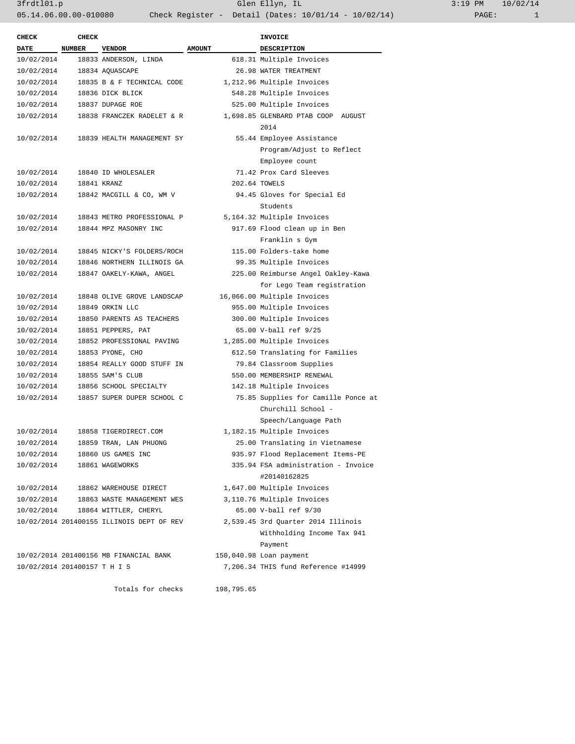| <b>DATE</b><br><b>NUMBER</b><br><b>AMOUNT</b><br><b>VENDOR</b><br><b>DESCRIPTION</b><br>618.31 Multiple Invoices<br>10/02/2014<br>18833 ANDERSON, LINDA<br>26.98 WATER TREATMENT<br>10/02/2014<br>18834 AQUASCAPE<br>10/02/2014<br>18835 B & F TECHNICAL CODE<br>1,212.96 Multiple Invoices<br>10/02/2014<br>18836 DICK BLICK<br>548.28 Multiple Invoices<br>10/02/2014<br>525.00 Multiple Invoices<br>18837 DUPAGE ROE<br>10/02/2014<br>1,698.85 GLENBARD PTAB COOP AUGUST<br>18838 FRANCZEK RADELET & R<br>2014<br>55.44 Employee Assistance<br>10/02/2014<br>18839 HEALTH MANAGEMENT SY<br>Program/Adjust to Reflect<br>Employee count<br>10/02/2014<br>71.42 Prox Card Sleeves<br>18840 ID WHOLESALER<br>202.64 TOWELS<br>10/02/2014<br>18841 KRANZ<br>10/02/2014<br>94.45 Gloves for Special Ed<br>18842 MACGILL & CO, WM V<br>Students<br>10/02/2014<br>5,164.32 Multiple Invoices<br>18843 METRO PROFESSIONAL P<br>10/02/2014<br>917.69 Flood clean up in Ben<br>18844 MPZ MASONRY INC<br>Franklin s Gym<br>10/02/2014<br>115.00 Folders-take home<br>18845 NICKY'S FOLDERS/ROCH<br>99.35 Multiple Invoices<br>10/02/2014<br>18846 NORTHERN ILLINOIS GA<br>10/02/2014<br>18847 OAKELY-KAWA, ANGEL<br>225.00 Reimburse Angel Oakley-Kawa<br>for Lego Team registration<br>10/02/2014<br>16,066.00 Multiple Invoices<br>18848 OLIVE GROVE LANDSCAP<br>10/02/2014<br>955.00 Multiple Invoices<br>18849 ORKIN LLC<br>10/02/2014<br>300.00 Multiple Invoices<br>18850 PARENTS AS TEACHERS<br>10/02/2014<br>18851 PEPPERS, PAT<br>65.00 V-ball ref 9/25<br>10/02/2014<br>18852 PROFESSIONAL PAVING<br>1,285.00 Multiple Invoices<br>10/02/2014<br>18853 PYONE, CHO<br>612.50 Translating for Families<br>10/02/2014<br>18854 REALLY GOOD STUFF IN<br>79.84 Classroom Supplies<br>10/02/2014<br>550.00 MEMBERSHIP RENEWAL<br>18855 SAM'S CLUB<br>10/02/2014<br>142.18 Multiple Invoices<br>18856 SCHOOL SPECIALTY<br>10/02/2014<br>18857 SUPER DUPER SCHOOL C<br>75.85 Supplies for Camille Ponce at<br>Churchill School -<br>Speech/Language Path<br>10/02/2014<br>1,182.15 Multiple Invoices<br>18858 TIGERDIRECT.COM<br>10/02/2014<br>18859 TRAN, LAN PHUONG<br>25.00 Translating in Vietnamese<br>10/02/2014<br>18860 US GAMES INC<br>935.97 Flood Replacement Items-PE<br>10/02/2014<br>335.94 FSA administration - Invoice<br>18861 WAGEWORKS<br>#20140162825<br>10/02/2014<br>18862 WAREHOUSE DIRECT<br>1,647.00 Multiple Invoices<br>3,110.76 Multiple Invoices<br>10/02/2014<br>18863 WASTE MANAGEMENT WES<br>65.00 V-ball ref 9/30<br>10/02/2014<br>18864 WITTLER, CHERYL<br>10/02/2014 201400155 ILLINOIS DEPT OF REV<br>2,539.45 3rd Quarter 2014 Illinois<br>Withholding Income Tax 941<br>Payment<br>10/02/2014 201400156 MB FINANCIAL BANK<br>150,040.98 Loan payment<br>10/02/2014 201400157 T H I S<br>7,206.34 THIS fund Reference #14999 | <b>CHECK</b> | <b>CHECK</b> |                   |            | <b>INVOICE</b> |
|-------------------------------------------------------------------------------------------------------------------------------------------------------------------------------------------------------------------------------------------------------------------------------------------------------------------------------------------------------------------------------------------------------------------------------------------------------------------------------------------------------------------------------------------------------------------------------------------------------------------------------------------------------------------------------------------------------------------------------------------------------------------------------------------------------------------------------------------------------------------------------------------------------------------------------------------------------------------------------------------------------------------------------------------------------------------------------------------------------------------------------------------------------------------------------------------------------------------------------------------------------------------------------------------------------------------------------------------------------------------------------------------------------------------------------------------------------------------------------------------------------------------------------------------------------------------------------------------------------------------------------------------------------------------------------------------------------------------------------------------------------------------------------------------------------------------------------------------------------------------------------------------------------------------------------------------------------------------------------------------------------------------------------------------------------------------------------------------------------------------------------------------------------------------------------------------------------------------------------------------------------------------------------------------------------------------------------------------------------------------------------------------------------------------------------------------------------------------------------------------------------------------------------------------------------------------------------------------------------------------------------------------------------------------------------------------------------------------------------------------------------------------------------------------------------------------------------------------------------------|--------------|--------------|-------------------|------------|----------------|
|                                                                                                                                                                                                                                                                                                                                                                                                                                                                                                                                                                                                                                                                                                                                                                                                                                                                                                                                                                                                                                                                                                                                                                                                                                                                                                                                                                                                                                                                                                                                                                                                                                                                                                                                                                                                                                                                                                                                                                                                                                                                                                                                                                                                                                                                                                                                                                                                                                                                                                                                                                                                                                                                                                                                                                                                                                                             |              |              |                   |            |                |
|                                                                                                                                                                                                                                                                                                                                                                                                                                                                                                                                                                                                                                                                                                                                                                                                                                                                                                                                                                                                                                                                                                                                                                                                                                                                                                                                                                                                                                                                                                                                                                                                                                                                                                                                                                                                                                                                                                                                                                                                                                                                                                                                                                                                                                                                                                                                                                                                                                                                                                                                                                                                                                                                                                                                                                                                                                                             |              |              |                   |            |                |
|                                                                                                                                                                                                                                                                                                                                                                                                                                                                                                                                                                                                                                                                                                                                                                                                                                                                                                                                                                                                                                                                                                                                                                                                                                                                                                                                                                                                                                                                                                                                                                                                                                                                                                                                                                                                                                                                                                                                                                                                                                                                                                                                                                                                                                                                                                                                                                                                                                                                                                                                                                                                                                                                                                                                                                                                                                                             |              |              |                   |            |                |
|                                                                                                                                                                                                                                                                                                                                                                                                                                                                                                                                                                                                                                                                                                                                                                                                                                                                                                                                                                                                                                                                                                                                                                                                                                                                                                                                                                                                                                                                                                                                                                                                                                                                                                                                                                                                                                                                                                                                                                                                                                                                                                                                                                                                                                                                                                                                                                                                                                                                                                                                                                                                                                                                                                                                                                                                                                                             |              |              |                   |            |                |
|                                                                                                                                                                                                                                                                                                                                                                                                                                                                                                                                                                                                                                                                                                                                                                                                                                                                                                                                                                                                                                                                                                                                                                                                                                                                                                                                                                                                                                                                                                                                                                                                                                                                                                                                                                                                                                                                                                                                                                                                                                                                                                                                                                                                                                                                                                                                                                                                                                                                                                                                                                                                                                                                                                                                                                                                                                                             |              |              |                   |            |                |
|                                                                                                                                                                                                                                                                                                                                                                                                                                                                                                                                                                                                                                                                                                                                                                                                                                                                                                                                                                                                                                                                                                                                                                                                                                                                                                                                                                                                                                                                                                                                                                                                                                                                                                                                                                                                                                                                                                                                                                                                                                                                                                                                                                                                                                                                                                                                                                                                                                                                                                                                                                                                                                                                                                                                                                                                                                                             |              |              |                   |            |                |
|                                                                                                                                                                                                                                                                                                                                                                                                                                                                                                                                                                                                                                                                                                                                                                                                                                                                                                                                                                                                                                                                                                                                                                                                                                                                                                                                                                                                                                                                                                                                                                                                                                                                                                                                                                                                                                                                                                                                                                                                                                                                                                                                                                                                                                                                                                                                                                                                                                                                                                                                                                                                                                                                                                                                                                                                                                                             |              |              |                   |            |                |
|                                                                                                                                                                                                                                                                                                                                                                                                                                                                                                                                                                                                                                                                                                                                                                                                                                                                                                                                                                                                                                                                                                                                                                                                                                                                                                                                                                                                                                                                                                                                                                                                                                                                                                                                                                                                                                                                                                                                                                                                                                                                                                                                                                                                                                                                                                                                                                                                                                                                                                                                                                                                                                                                                                                                                                                                                                                             |              |              |                   |            |                |
|                                                                                                                                                                                                                                                                                                                                                                                                                                                                                                                                                                                                                                                                                                                                                                                                                                                                                                                                                                                                                                                                                                                                                                                                                                                                                                                                                                                                                                                                                                                                                                                                                                                                                                                                                                                                                                                                                                                                                                                                                                                                                                                                                                                                                                                                                                                                                                                                                                                                                                                                                                                                                                                                                                                                                                                                                                                             |              |              |                   |            |                |
|                                                                                                                                                                                                                                                                                                                                                                                                                                                                                                                                                                                                                                                                                                                                                                                                                                                                                                                                                                                                                                                                                                                                                                                                                                                                                                                                                                                                                                                                                                                                                                                                                                                                                                                                                                                                                                                                                                                                                                                                                                                                                                                                                                                                                                                                                                                                                                                                                                                                                                                                                                                                                                                                                                                                                                                                                                                             |              |              |                   |            |                |
|                                                                                                                                                                                                                                                                                                                                                                                                                                                                                                                                                                                                                                                                                                                                                                                                                                                                                                                                                                                                                                                                                                                                                                                                                                                                                                                                                                                                                                                                                                                                                                                                                                                                                                                                                                                                                                                                                                                                                                                                                                                                                                                                                                                                                                                                                                                                                                                                                                                                                                                                                                                                                                                                                                                                                                                                                                                             |              |              |                   |            |                |
|                                                                                                                                                                                                                                                                                                                                                                                                                                                                                                                                                                                                                                                                                                                                                                                                                                                                                                                                                                                                                                                                                                                                                                                                                                                                                                                                                                                                                                                                                                                                                                                                                                                                                                                                                                                                                                                                                                                                                                                                                                                                                                                                                                                                                                                                                                                                                                                                                                                                                                                                                                                                                                                                                                                                                                                                                                                             |              |              |                   |            |                |
|                                                                                                                                                                                                                                                                                                                                                                                                                                                                                                                                                                                                                                                                                                                                                                                                                                                                                                                                                                                                                                                                                                                                                                                                                                                                                                                                                                                                                                                                                                                                                                                                                                                                                                                                                                                                                                                                                                                                                                                                                                                                                                                                                                                                                                                                                                                                                                                                                                                                                                                                                                                                                                                                                                                                                                                                                                                             |              |              |                   |            |                |
|                                                                                                                                                                                                                                                                                                                                                                                                                                                                                                                                                                                                                                                                                                                                                                                                                                                                                                                                                                                                                                                                                                                                                                                                                                                                                                                                                                                                                                                                                                                                                                                                                                                                                                                                                                                                                                                                                                                                                                                                                                                                                                                                                                                                                                                                                                                                                                                                                                                                                                                                                                                                                                                                                                                                                                                                                                                             |              |              |                   |            |                |
|                                                                                                                                                                                                                                                                                                                                                                                                                                                                                                                                                                                                                                                                                                                                                                                                                                                                                                                                                                                                                                                                                                                                                                                                                                                                                                                                                                                                                                                                                                                                                                                                                                                                                                                                                                                                                                                                                                                                                                                                                                                                                                                                                                                                                                                                                                                                                                                                                                                                                                                                                                                                                                                                                                                                                                                                                                                             |              |              |                   |            |                |
|                                                                                                                                                                                                                                                                                                                                                                                                                                                                                                                                                                                                                                                                                                                                                                                                                                                                                                                                                                                                                                                                                                                                                                                                                                                                                                                                                                                                                                                                                                                                                                                                                                                                                                                                                                                                                                                                                                                                                                                                                                                                                                                                                                                                                                                                                                                                                                                                                                                                                                                                                                                                                                                                                                                                                                                                                                                             |              |              |                   |            |                |
|                                                                                                                                                                                                                                                                                                                                                                                                                                                                                                                                                                                                                                                                                                                                                                                                                                                                                                                                                                                                                                                                                                                                                                                                                                                                                                                                                                                                                                                                                                                                                                                                                                                                                                                                                                                                                                                                                                                                                                                                                                                                                                                                                                                                                                                                                                                                                                                                                                                                                                                                                                                                                                                                                                                                                                                                                                                             |              |              |                   |            |                |
|                                                                                                                                                                                                                                                                                                                                                                                                                                                                                                                                                                                                                                                                                                                                                                                                                                                                                                                                                                                                                                                                                                                                                                                                                                                                                                                                                                                                                                                                                                                                                                                                                                                                                                                                                                                                                                                                                                                                                                                                                                                                                                                                                                                                                                                                                                                                                                                                                                                                                                                                                                                                                                                                                                                                                                                                                                                             |              |              |                   |            |                |
|                                                                                                                                                                                                                                                                                                                                                                                                                                                                                                                                                                                                                                                                                                                                                                                                                                                                                                                                                                                                                                                                                                                                                                                                                                                                                                                                                                                                                                                                                                                                                                                                                                                                                                                                                                                                                                                                                                                                                                                                                                                                                                                                                                                                                                                                                                                                                                                                                                                                                                                                                                                                                                                                                                                                                                                                                                                             |              |              |                   |            |                |
|                                                                                                                                                                                                                                                                                                                                                                                                                                                                                                                                                                                                                                                                                                                                                                                                                                                                                                                                                                                                                                                                                                                                                                                                                                                                                                                                                                                                                                                                                                                                                                                                                                                                                                                                                                                                                                                                                                                                                                                                                                                                                                                                                                                                                                                                                                                                                                                                                                                                                                                                                                                                                                                                                                                                                                                                                                                             |              |              |                   |            |                |
|                                                                                                                                                                                                                                                                                                                                                                                                                                                                                                                                                                                                                                                                                                                                                                                                                                                                                                                                                                                                                                                                                                                                                                                                                                                                                                                                                                                                                                                                                                                                                                                                                                                                                                                                                                                                                                                                                                                                                                                                                                                                                                                                                                                                                                                                                                                                                                                                                                                                                                                                                                                                                                                                                                                                                                                                                                                             |              |              |                   |            |                |
|                                                                                                                                                                                                                                                                                                                                                                                                                                                                                                                                                                                                                                                                                                                                                                                                                                                                                                                                                                                                                                                                                                                                                                                                                                                                                                                                                                                                                                                                                                                                                                                                                                                                                                                                                                                                                                                                                                                                                                                                                                                                                                                                                                                                                                                                                                                                                                                                                                                                                                                                                                                                                                                                                                                                                                                                                                                             |              |              |                   |            |                |
|                                                                                                                                                                                                                                                                                                                                                                                                                                                                                                                                                                                                                                                                                                                                                                                                                                                                                                                                                                                                                                                                                                                                                                                                                                                                                                                                                                                                                                                                                                                                                                                                                                                                                                                                                                                                                                                                                                                                                                                                                                                                                                                                                                                                                                                                                                                                                                                                                                                                                                                                                                                                                                                                                                                                                                                                                                                             |              |              |                   |            |                |
|                                                                                                                                                                                                                                                                                                                                                                                                                                                                                                                                                                                                                                                                                                                                                                                                                                                                                                                                                                                                                                                                                                                                                                                                                                                                                                                                                                                                                                                                                                                                                                                                                                                                                                                                                                                                                                                                                                                                                                                                                                                                                                                                                                                                                                                                                                                                                                                                                                                                                                                                                                                                                                                                                                                                                                                                                                                             |              |              |                   |            |                |
|                                                                                                                                                                                                                                                                                                                                                                                                                                                                                                                                                                                                                                                                                                                                                                                                                                                                                                                                                                                                                                                                                                                                                                                                                                                                                                                                                                                                                                                                                                                                                                                                                                                                                                                                                                                                                                                                                                                                                                                                                                                                                                                                                                                                                                                                                                                                                                                                                                                                                                                                                                                                                                                                                                                                                                                                                                                             |              |              |                   |            |                |
|                                                                                                                                                                                                                                                                                                                                                                                                                                                                                                                                                                                                                                                                                                                                                                                                                                                                                                                                                                                                                                                                                                                                                                                                                                                                                                                                                                                                                                                                                                                                                                                                                                                                                                                                                                                                                                                                                                                                                                                                                                                                                                                                                                                                                                                                                                                                                                                                                                                                                                                                                                                                                                                                                                                                                                                                                                                             |              |              |                   |            |                |
|                                                                                                                                                                                                                                                                                                                                                                                                                                                                                                                                                                                                                                                                                                                                                                                                                                                                                                                                                                                                                                                                                                                                                                                                                                                                                                                                                                                                                                                                                                                                                                                                                                                                                                                                                                                                                                                                                                                                                                                                                                                                                                                                                                                                                                                                                                                                                                                                                                                                                                                                                                                                                                                                                                                                                                                                                                                             |              |              |                   |            |                |
|                                                                                                                                                                                                                                                                                                                                                                                                                                                                                                                                                                                                                                                                                                                                                                                                                                                                                                                                                                                                                                                                                                                                                                                                                                                                                                                                                                                                                                                                                                                                                                                                                                                                                                                                                                                                                                                                                                                                                                                                                                                                                                                                                                                                                                                                                                                                                                                                                                                                                                                                                                                                                                                                                                                                                                                                                                                             |              |              |                   |            |                |
|                                                                                                                                                                                                                                                                                                                                                                                                                                                                                                                                                                                                                                                                                                                                                                                                                                                                                                                                                                                                                                                                                                                                                                                                                                                                                                                                                                                                                                                                                                                                                                                                                                                                                                                                                                                                                                                                                                                                                                                                                                                                                                                                                                                                                                                                                                                                                                                                                                                                                                                                                                                                                                                                                                                                                                                                                                                             |              |              |                   |            |                |
|                                                                                                                                                                                                                                                                                                                                                                                                                                                                                                                                                                                                                                                                                                                                                                                                                                                                                                                                                                                                                                                                                                                                                                                                                                                                                                                                                                                                                                                                                                                                                                                                                                                                                                                                                                                                                                                                                                                                                                                                                                                                                                                                                                                                                                                                                                                                                                                                                                                                                                                                                                                                                                                                                                                                                                                                                                                             |              |              |                   |            |                |
|                                                                                                                                                                                                                                                                                                                                                                                                                                                                                                                                                                                                                                                                                                                                                                                                                                                                                                                                                                                                                                                                                                                                                                                                                                                                                                                                                                                                                                                                                                                                                                                                                                                                                                                                                                                                                                                                                                                                                                                                                                                                                                                                                                                                                                                                                                                                                                                                                                                                                                                                                                                                                                                                                                                                                                                                                                                             |              |              |                   |            |                |
|                                                                                                                                                                                                                                                                                                                                                                                                                                                                                                                                                                                                                                                                                                                                                                                                                                                                                                                                                                                                                                                                                                                                                                                                                                                                                                                                                                                                                                                                                                                                                                                                                                                                                                                                                                                                                                                                                                                                                                                                                                                                                                                                                                                                                                                                                                                                                                                                                                                                                                                                                                                                                                                                                                                                                                                                                                                             |              |              |                   |            |                |
|                                                                                                                                                                                                                                                                                                                                                                                                                                                                                                                                                                                                                                                                                                                                                                                                                                                                                                                                                                                                                                                                                                                                                                                                                                                                                                                                                                                                                                                                                                                                                                                                                                                                                                                                                                                                                                                                                                                                                                                                                                                                                                                                                                                                                                                                                                                                                                                                                                                                                                                                                                                                                                                                                                                                                                                                                                                             |              |              |                   |            |                |
|                                                                                                                                                                                                                                                                                                                                                                                                                                                                                                                                                                                                                                                                                                                                                                                                                                                                                                                                                                                                                                                                                                                                                                                                                                                                                                                                                                                                                                                                                                                                                                                                                                                                                                                                                                                                                                                                                                                                                                                                                                                                                                                                                                                                                                                                                                                                                                                                                                                                                                                                                                                                                                                                                                                                                                                                                                                             |              |              |                   |            |                |
|                                                                                                                                                                                                                                                                                                                                                                                                                                                                                                                                                                                                                                                                                                                                                                                                                                                                                                                                                                                                                                                                                                                                                                                                                                                                                                                                                                                                                                                                                                                                                                                                                                                                                                                                                                                                                                                                                                                                                                                                                                                                                                                                                                                                                                                                                                                                                                                                                                                                                                                                                                                                                                                                                                                                                                                                                                                             |              |              |                   |            |                |
|                                                                                                                                                                                                                                                                                                                                                                                                                                                                                                                                                                                                                                                                                                                                                                                                                                                                                                                                                                                                                                                                                                                                                                                                                                                                                                                                                                                                                                                                                                                                                                                                                                                                                                                                                                                                                                                                                                                                                                                                                                                                                                                                                                                                                                                                                                                                                                                                                                                                                                                                                                                                                                                                                                                                                                                                                                                             |              |              |                   |            |                |
|                                                                                                                                                                                                                                                                                                                                                                                                                                                                                                                                                                                                                                                                                                                                                                                                                                                                                                                                                                                                                                                                                                                                                                                                                                                                                                                                                                                                                                                                                                                                                                                                                                                                                                                                                                                                                                                                                                                                                                                                                                                                                                                                                                                                                                                                                                                                                                                                                                                                                                                                                                                                                                                                                                                                                                                                                                                             |              |              |                   |            |                |
|                                                                                                                                                                                                                                                                                                                                                                                                                                                                                                                                                                                                                                                                                                                                                                                                                                                                                                                                                                                                                                                                                                                                                                                                                                                                                                                                                                                                                                                                                                                                                                                                                                                                                                                                                                                                                                                                                                                                                                                                                                                                                                                                                                                                                                                                                                                                                                                                                                                                                                                                                                                                                                                                                                                                                                                                                                                             |              |              |                   |            |                |
|                                                                                                                                                                                                                                                                                                                                                                                                                                                                                                                                                                                                                                                                                                                                                                                                                                                                                                                                                                                                                                                                                                                                                                                                                                                                                                                                                                                                                                                                                                                                                                                                                                                                                                                                                                                                                                                                                                                                                                                                                                                                                                                                                                                                                                                                                                                                                                                                                                                                                                                                                                                                                                                                                                                                                                                                                                                             |              |              |                   |            |                |
|                                                                                                                                                                                                                                                                                                                                                                                                                                                                                                                                                                                                                                                                                                                                                                                                                                                                                                                                                                                                                                                                                                                                                                                                                                                                                                                                                                                                                                                                                                                                                                                                                                                                                                                                                                                                                                                                                                                                                                                                                                                                                                                                                                                                                                                                                                                                                                                                                                                                                                                                                                                                                                                                                                                                                                                                                                                             |              |              |                   |            |                |
|                                                                                                                                                                                                                                                                                                                                                                                                                                                                                                                                                                                                                                                                                                                                                                                                                                                                                                                                                                                                                                                                                                                                                                                                                                                                                                                                                                                                                                                                                                                                                                                                                                                                                                                                                                                                                                                                                                                                                                                                                                                                                                                                                                                                                                                                                                                                                                                                                                                                                                                                                                                                                                                                                                                                                                                                                                                             |              |              |                   |            |                |
|                                                                                                                                                                                                                                                                                                                                                                                                                                                                                                                                                                                                                                                                                                                                                                                                                                                                                                                                                                                                                                                                                                                                                                                                                                                                                                                                                                                                                                                                                                                                                                                                                                                                                                                                                                                                                                                                                                                                                                                                                                                                                                                                                                                                                                                                                                                                                                                                                                                                                                                                                                                                                                                                                                                                                                                                                                                             |              |              |                   |            |                |
|                                                                                                                                                                                                                                                                                                                                                                                                                                                                                                                                                                                                                                                                                                                                                                                                                                                                                                                                                                                                                                                                                                                                                                                                                                                                                                                                                                                                                                                                                                                                                                                                                                                                                                                                                                                                                                                                                                                                                                                                                                                                                                                                                                                                                                                                                                                                                                                                                                                                                                                                                                                                                                                                                                                                                                                                                                                             |              |              |                   |            |                |
|                                                                                                                                                                                                                                                                                                                                                                                                                                                                                                                                                                                                                                                                                                                                                                                                                                                                                                                                                                                                                                                                                                                                                                                                                                                                                                                                                                                                                                                                                                                                                                                                                                                                                                                                                                                                                                                                                                                                                                                                                                                                                                                                                                                                                                                                                                                                                                                                                                                                                                                                                                                                                                                                                                                                                                                                                                                             |              |              |                   |            |                |
|                                                                                                                                                                                                                                                                                                                                                                                                                                                                                                                                                                                                                                                                                                                                                                                                                                                                                                                                                                                                                                                                                                                                                                                                                                                                                                                                                                                                                                                                                                                                                                                                                                                                                                                                                                                                                                                                                                                                                                                                                                                                                                                                                                                                                                                                                                                                                                                                                                                                                                                                                                                                                                                                                                                                                                                                                                                             |              |              |                   |            |                |
|                                                                                                                                                                                                                                                                                                                                                                                                                                                                                                                                                                                                                                                                                                                                                                                                                                                                                                                                                                                                                                                                                                                                                                                                                                                                                                                                                                                                                                                                                                                                                                                                                                                                                                                                                                                                                                                                                                                                                                                                                                                                                                                                                                                                                                                                                                                                                                                                                                                                                                                                                                                                                                                                                                                                                                                                                                                             |              |              |                   |            |                |
|                                                                                                                                                                                                                                                                                                                                                                                                                                                                                                                                                                                                                                                                                                                                                                                                                                                                                                                                                                                                                                                                                                                                                                                                                                                                                                                                                                                                                                                                                                                                                                                                                                                                                                                                                                                                                                                                                                                                                                                                                                                                                                                                                                                                                                                                                                                                                                                                                                                                                                                                                                                                                                                                                                                                                                                                                                                             |              |              |                   |            |                |
|                                                                                                                                                                                                                                                                                                                                                                                                                                                                                                                                                                                                                                                                                                                                                                                                                                                                                                                                                                                                                                                                                                                                                                                                                                                                                                                                                                                                                                                                                                                                                                                                                                                                                                                                                                                                                                                                                                                                                                                                                                                                                                                                                                                                                                                                                                                                                                                                                                                                                                                                                                                                                                                                                                                                                                                                                                                             |              |              | Totals for checks | 198,795.65 |                |